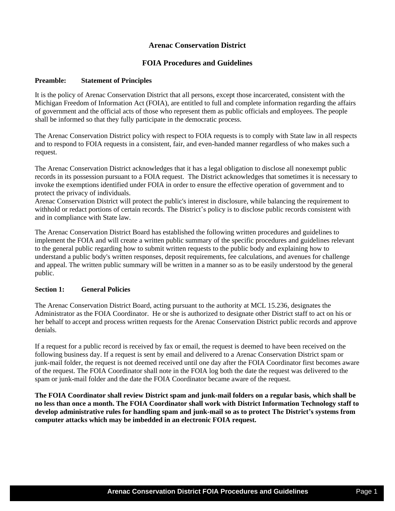# **Arenac Conservation District**

# **FOIA Procedures and Guidelines**

#### **Preamble: Statement of Principles**

It is the policy of Arenac Conservation District that all persons, except those incarcerated, consistent with the Michigan Freedom of Information Act (FOIA), are entitled to full and complete information regarding the affairs of government and the official acts of those who represent them as public officials and employees. The people shall be informed so that they fully participate in the democratic process.

The Arenac Conservation District policy with respect to FOIA requests is to comply with State law in all respects and to respond to FOIA requests in a consistent, fair, and even-handed manner regardless of who makes such a request.

The Arenac Conservation District acknowledges that it has a legal obligation to disclose all nonexempt public records in its possession pursuant to a FOIA request. The District acknowledges that sometimes it is necessary to invoke the exemptions identified under FOIA in order to ensure the effective operation of government and to protect the privacy of individuals.

Arenac Conservation District will protect the public's interest in disclosure, while balancing the requirement to withhold or redact portions of certain records. The District's policy is to disclose public records consistent with and in compliance with State law.

The Arenac Conservation District Board has established the following written procedures and guidelines to implement the FOIA and will create a written public summary of the specific procedures and guidelines relevant to the general public regarding how to submit written requests to the public body and explaining how to understand a public body's written responses, deposit requirements, fee calculations, and avenues for challenge and appeal. The written public summary will be written in a manner so as to be easily understood by the general public.

## **Section 1: General Policies**

The Arenac Conservation District Board, acting pursuant to the authority at MCL 15.236, designates the Administrator as the FOIA Coordinator. He or she is authorized to designate other District staff to act on his or her behalf to accept and process written requests for the Arenac Conservation District public records and approve denials.

If a request for a public record is received by fax or email, the request is deemed to have been received on the following business day. If a request is sent by email and delivered to a Arenac Conservation District spam or junk-mail folder, the request is not deemed received until one day after the FOIA Coordinator first becomes aware of the request. The FOIA Coordinator shall note in the FOIA log both the date the request was delivered to the spam or junk-mail folder and the date the FOIA Coordinator became aware of the request.

**The FOIA Coordinator shall review District spam and junk-mail folders on a regular basis, which shall be no less than once a month. The FOIA Coordinator shall work with District Information Technology staff to develop administrative rules for handling spam and junk-mail so as to protect The District's systems from computer attacks which may be imbedded in an electronic FOIA request.**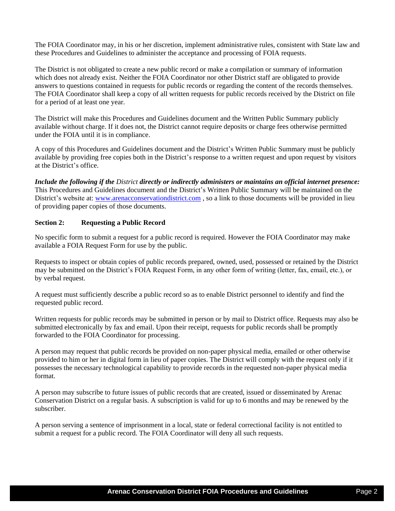The FOIA Coordinator may, in his or her discretion, implement administrative rules, consistent with State law and these Procedures and Guidelines to administer the acceptance and processing of FOIA requests.

The District is not obligated to create a new public record or make a compilation or summary of information which does not already exist. Neither the FOIA Coordinator nor other District staff are obligated to provide answers to questions contained in requests for public records or regarding the content of the records themselves. The FOIA Coordinator shall keep a copy of all written requests for public records received by the District on file for a period of at least one year.

The District will make this Procedures and Guidelines document and the Written Public Summary publicly available without charge. If it does not, the District cannot require deposits or charge fees otherwise permitted under the FOIA until it is in compliance.

A copy of this Procedures and Guidelines document and the District's Written Public Summary must be publicly available by providing free copies both in the District's response to a written request and upon request by visitors at the District's office.

*Include the following if the District directly or indirectly administers or maintains an official internet presence:*  This Procedures and Guidelines document and the District's Written Public Summary will be maintained on the District's website at: [www.arenacconservationdistrict.com](http://www.arenacconservationdistrict.com/), so a link to those documents will be provided in lieu of providing paper copies of those documents.

## **Section 2: Requesting a Public Record**

No specific form to submit a request for a public record is required. However the FOIA Coordinator may make available a FOIA Request Form for use by the public.

Requests to inspect or obtain copies of public records prepared, owned, used, possessed or retained by the District may be submitted on the District's FOIA Request Form, in any other form of writing (letter, fax, email, etc.), or by verbal request.

A request must sufficiently describe a public record so as to enable District personnel to identify and find the requested public record.

Written requests for public records may be submitted in person or by mail to District office. Requests may also be submitted electronically by fax and email. Upon their receipt, requests for public records shall be promptly forwarded to the FOIA Coordinator for processing.

A person may request that public records be provided on non-paper physical media, emailed or other otherwise provided to him or her in digital form in lieu of paper copies. The District will comply with the request only if it possesses the necessary technological capability to provide records in the requested non-paper physical media format.

A person may subscribe to future issues of public records that are created, issued or disseminated by Arenac Conservation District on a regular basis. A subscription is valid for up to 6 months and may be renewed by the subscriber.

A person serving a sentence of imprisonment in a local, state or federal correctional facility is not entitled to submit a request for a public record. The FOIA Coordinator will deny all such requests.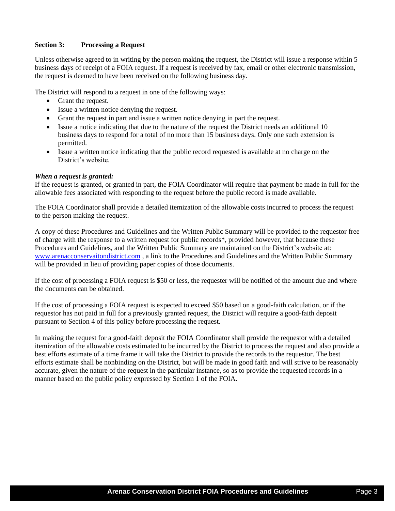## **Section 3: Processing a Request**

Unless otherwise agreed to in writing by the person making the request, the District will issue a response within 5 business days of receipt of a FOIA request. If a request is received by fax, email or other electronic transmission, the request is deemed to have been received on the following business day.

The District will respond to a request in one of the following ways:

- Grant the request.
- Issue a written notice denying the request.
- Grant the request in part and issue a written notice denying in part the request.
- Issue a notice indicating that due to the nature of the request the District needs an additional 10 business days to respond for a total of no more than 15 business days. Only one such extension is permitted.
- Issue a written notice indicating that the public record requested is available at no charge on the District's website.

#### *When a request is granted:*

If the request is granted, or granted in part, the FOIA Coordinator will require that payment be made in full for the allowable fees associated with responding to the request before the public record is made available.

The FOIA Coordinator shall provide a detailed itemization of the allowable costs incurred to process the request to the person making the request.

A copy of these Procedures and Guidelines and the Written Public Summary will be provided to the requestor free of charge with the response to a written request for public records\*, provided however, that because these Procedures and Guidelines, and the Written Public Summary are maintained on the District's website at: [www.arenacconservaitondistrict.com](http://www.arenacconservaitondistrict.com/) , a link to the Procedures and Guidelines and the Written Public Summary will be provided in lieu of providing paper copies of those documents.

If the cost of processing a FOIA request is \$50 or less, the requester will be notified of the amount due and where the documents can be obtained.

If the cost of processing a FOIA request is expected to exceed \$50 based on a good-faith calculation, or if the requestor has not paid in full for a previously granted request, the District will require a good-faith deposit pursuant to Section 4 of this policy before processing the request.

In making the request for a good-faith deposit the FOIA Coordinator shall provide the requestor with a detailed itemization of the allowable costs estimated to be incurred by the District to process the request and also provide a best efforts estimate of a time frame it will take the District to provide the records to the requestor. The best efforts estimate shall be nonbinding on the District, but will be made in good faith and will strive to be reasonably accurate, given the nature of the request in the particular instance, so as to provide the requested records in a manner based on the public policy expressed by Section 1 of the FOIA.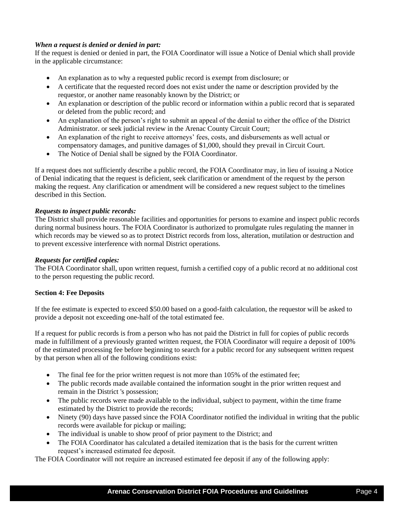## *When a request is denied or denied in part:*

If the request is denied or denied in part, the FOIA Coordinator will issue a Notice of Denial which shall provide in the applicable circumstance:

- An explanation as to why a requested public record is exempt from disclosure; or
- A certificate that the requested record does not exist under the name or description provided by the requestor, or another name reasonably known by the District; or
- An explanation or description of the public record or information within a public record that is separated or deleted from the public record; and
- An explanation of the person's right to submit an appeal of the denial to either the office of the District Administrator. or seek judicial review in the Arenac County Circuit Court;
- An explanation of the right to receive attorneys' fees, costs, and disbursements as well actual or compensatory damages, and punitive damages of \$1,000, should they prevail in Circuit Court.
- The Notice of Denial shall be signed by the FOIA Coordinator.

If a request does not sufficiently describe a public record, the FOIA Coordinator may, in lieu of issuing a Notice of Denial indicating that the request is deficient, seek clarification or amendment of the request by the person making the request. Any clarification or amendment will be considered a new request subject to the timelines described in this Section.

## *Requests to inspect public records:*

The District shall provide reasonable facilities and opportunities for persons to examine and inspect public records during normal business hours. The FOIA Coordinator is authorized to promulgate rules regulating the manner in which records may be viewed so as to protect District records from loss, alteration, mutilation or destruction and to prevent excessive interference with normal District operations.

## *Requests for certified copies:*

The FOIA Coordinator shall, upon written request, furnish a certified copy of a public record at no additional cost to the person requesting the public record.

## **Section 4: Fee Deposits**

If the fee estimate is expected to exceed \$50.00 based on a good-faith calculation, the requestor will be asked to provide a deposit not exceeding one-half of the total estimated fee.

If a request for public records is from a person who has not paid the District in full for copies of public records made in fulfillment of a previously granted written request, the FOIA Coordinator will require a deposit of 100% of the estimated processing fee before beginning to search for a public record for any subsequent written request by that person when all of the following conditions exist:

- The final fee for the prior written request is not more than 105% of the estimated fee;
- The public records made available contained the information sought in the prior written request and remain in the District 's possession;
- The public records were made available to the individual, subject to payment, within the time frame estimated by the District to provide the records;
- Ninety (90) days have passed since the FOIA Coordinator notified the individual in writing that the public records were available for pickup or mailing;
- The individual is unable to show proof of prior payment to the District; and
- The FOIA Coordinator has calculated a detailed itemization that is the basis for the current written request's increased estimated fee deposit.

The FOIA Coordinator will not require an increased estimated fee deposit if any of the following apply: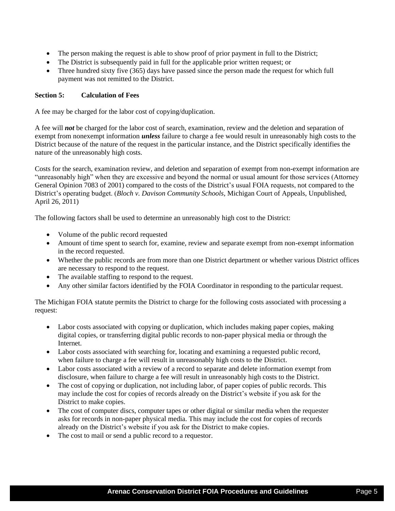- The person making the request is able to show proof of prior payment in full to the District;
- The District is subsequently paid in full for the applicable prior written request; or
- Three hundred sixty five (365) days have passed since the person made the request for which full payment was not remitted to the District.

## **Section 5: Calculation of Fees**

A fee may be charged for the labor cost of copying/duplication.

A fee will *not* be charged for the labor cost of search, examination, review and the deletion and separation of exempt from nonexempt information *unless* failure to charge a fee would result in unreasonably high costs to the District because of the nature of the request in the particular instance, and the District specifically identifies the nature of the unreasonably high costs.

Costs for the search, examination review, and deletion and separation of exempt from non-exempt information are "unreasonably high" when they are excessive and beyond the normal or usual amount for those services (Attorney General Opinion 7083 of 2001) compared to the costs of the District's usual FOIA requests, not compared to the District's operating budget. (*Bloch v. Davison Community Schools*, Michigan Court of Appeals, Unpublished, April 26, 2011)

The following factors shall be used to determine an unreasonably high cost to the District:

- Volume of the public record requested
- Amount of time spent to search for, examine, review and separate exempt from non-exempt information in the record requested.
- Whether the public records are from more than one District department or whether various District offices are necessary to respond to the request.
- The available staffing to respond to the request.
- Any other similar factors identified by the FOIA Coordinator in responding to the particular request.

The Michigan FOIA statute permits the District to charge for the following costs associated with processing a request:

- Labor costs associated with copying or duplication, which includes making paper copies, making digital copies, or transferring digital public records to non-paper physical media or through the Internet.
- Labor costs associated with searching for, locating and examining a requested public record, when failure to charge a fee will result in unreasonably high costs to the District.
- Labor costs associated with a review of a record to separate and delete information exempt from disclosure, when failure to charge a fee will result in unreasonably high costs to the District.
- The cost of copying or duplication, not including labor, of paper copies of public records. This may include the cost for copies of records already on the District's website if you ask for the District to make copies.
- The cost of computer discs, computer tapes or other digital or similar media when the requester asks for records in non-paper physical media. This may include the cost for copies of records already on the District's website if you ask for the District to make copies.
- The cost to mail or send a public record to a requestor.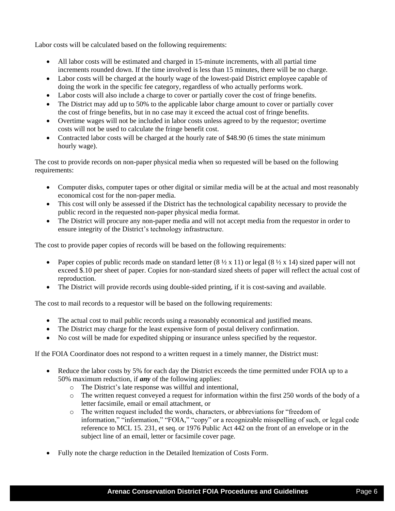Labor costs will be calculated based on the following requirements:

- All labor costs will be estimated and charged in 15-minute increments, with all partial time increments rounded down. If the time involved is less than 15 minutes, there will be no charge.
- Labor costs will be charged at the hourly wage of the lowest-paid District employee capable of doing the work in the specific fee category, regardless of who actually performs work.
- Labor costs will also include a charge to cover or partially cover the cost of fringe benefits.
- The District may add up to 50% to the applicable labor charge amount to cover or partially cover the cost of fringe benefits, but in no case may it exceed the actual cost of fringe benefits.
- Overtime wages will not be included in labor costs unless agreed to by the requestor; overtime costs will not be used to calculate the fringe benefit cost.
- Contracted labor costs will be charged at the hourly rate of \$48.90 (6 times the state minimum hourly wage).

The cost to provide records on non-paper physical media when so requested will be based on the following requirements:

- Computer disks, computer tapes or other digital or similar media will be at the actual and most reasonably economical cost for the non-paper media.
- This cost will only be assessed if the District has the technological capability necessary to provide the public record in the requested non-paper physical media format.
- The District will procure any non-paper media and will not accept media from the requestor in order to ensure integrity of the District's technology infrastructure.

The cost to provide paper copies of records will be based on the following requirements:

- Paper copies of public records made on standard letter  $(8 \frac{1}{2} \times 11)$  or legal  $(8 \frac{1}{2} \times 14)$  sized paper will not exceed \$.10 per sheet of paper. Copies for non-standard sized sheets of paper will reflect the actual cost of reproduction.
- The District will provide records using double-sided printing, if it is cost-saving and available.

The cost to mail records to a requestor will be based on the following requirements:

- The actual cost to mail public records using a reasonably economical and justified means.
- The District may charge for the least expensive form of postal delivery confirmation.
- No cost will be made for expedited shipping or insurance unless specified by the requestor.

If the FOIA Coordinator does not respond to a written request in a timely manner, the District must:

- Reduce the labor costs by 5% for each day the District exceeds the time permitted under FOIA up to a 50% maximum reduction, if *any* of the following applies:
	- o The District's late response was willful and intentional,
	- $\circ$  The written request conveyed a request for information within the first 250 words of the body of a letter facsimile, email or email attachment, or
	- o The written request included the words, characters, or abbreviations for "freedom of information," "information," "FOIA," "copy" or a recognizable misspelling of such, or legal code reference to MCL 15. 231, et seq. or 1976 Public Act 442 on the front of an envelope or in the subject line of an email, letter or facsimile cover page.
- Fully note the charge reduction in the Detailed Itemization of Costs Form.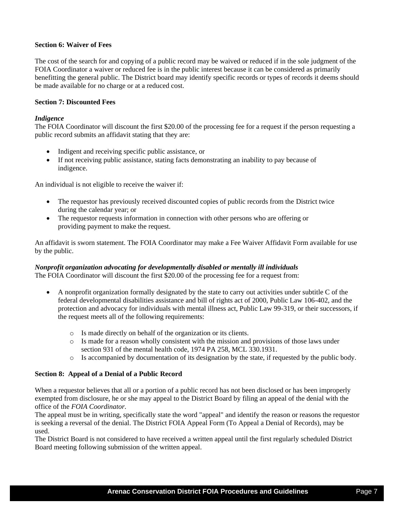#### **Section 6: Waiver of Fees**

The cost of the search for and copying of a public record may be waived or reduced if in the sole judgment of the FOIA Coordinator a waiver or reduced fee is in the public interest because it can be considered as primarily benefitting the general public. The District board may identify specific records or types of records it deems should be made available for no charge or at a reduced cost.

#### **Section 7: Discounted Fees**

#### *Indigence*

The FOIA Coordinator will discount the first \$20.00 of the processing fee for a request if the person requesting a public record submits an affidavit stating that they are:

- Indigent and receiving specific public assistance, or
- If not receiving public assistance, stating facts demonstrating an inability to pay because of indigence.

An individual is not eligible to receive the waiver if:

- The requestor has previously received discounted copies of public records from the District twice during the calendar year; or
- The requestor requests information in connection with other persons who are offering or providing payment to make the request.

An affidavit is sworn statement. The FOIA Coordinator may make a Fee Waiver Affidavit Form available for use by the public.

# *Nonprofit organization advocating for developmentally disabled or mentally ill individuals*

The FOIA Coordinator will discount the first \$20.00 of the processing fee for a request from:

- A nonprofit organization formally designated by the state to carry out activities under subtitle C of the federal developmental disabilities assistance and bill of rights act of 2000, Public Law 106-402, and the protection and advocacy for individuals with mental illness act, Public Law 99-319, or their successors, if the request meets all of the following requirements:
	- o Is made directly on behalf of the organization or its clients.
	- o Is made for a reason wholly consistent with the mission and provisions of those laws under section 931 of the mental health code, 1974 PA 258, MCL 330.1931.
	- o Is accompanied by documentation of its designation by the state, if requested by the public body.

#### **Section 8: Appeal of a Denial of a Public Record**

When a requestor believes that all or a portion of a public record has not been disclosed or has been improperly exempted from disclosure, he or she may appeal to the District Board by filing an appeal of the denial with the office of the *FOIA Coordinator.*

The appeal must be in writing, specifically state the word "appeal" and identify the reason or reasons the requestor is seeking a reversal of the denial. The District FOIA Appeal Form (To Appeal a Denial of Records), may be used.

The District Board is not considered to have received a written appeal until the first regularly scheduled District Board meeting following submission of the written appeal.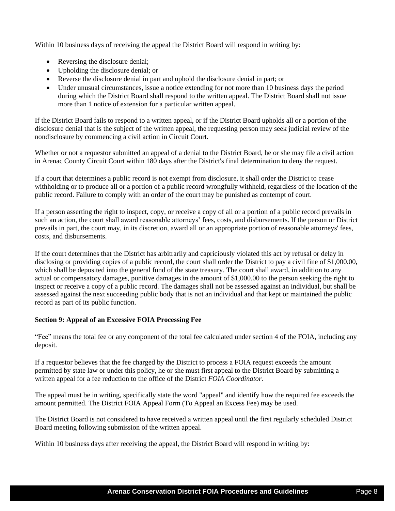Within 10 business days of receiving the appeal the District Board will respond in writing by:

- Reversing the disclosure denial;
- Upholding the disclosure denial; or
- Reverse the disclosure denial in part and uphold the disclosure denial in part; or
- Under unusual circumstances, issue a notice extending for not more than 10 business days the period during which the District Board shall respond to the written appeal. The District Board shall not issue more than 1 notice of extension for a particular written appeal.

If the District Board fails to respond to a written appeal, or if the District Board upholds all or a portion of the disclosure denial that is the subject of the written appeal, the requesting person may seek judicial review of the nondisclosure by commencing a civil action in Circuit Court.

Whether or not a requestor submitted an appeal of a denial to the District Board, he or she may file a civil action in Arenac County Circuit Court within 180 days after the District's final determination to deny the request.

If a court that determines a public record is not exempt from disclosure, it shall order the District to cease withholding or to produce all or a portion of a public record wrongfully withheld, regardless of the location of the public record. Failure to comply with an order of the court may be punished as contempt of court.

If a person asserting the right to inspect, copy, or receive a copy of all or a portion of a public record prevails in such an action, the court shall award reasonable attorneys' fees, costs, and disbursements. If the person or District prevails in part, the court may, in its discretion, award all or an appropriate portion of reasonable attorneys' fees, costs, and disbursements.

If the court determines that the District has arbitrarily and capriciously violated this act by refusal or delay in disclosing or providing copies of a public record, the court shall order the District to pay a civil fine of \$1,000.00, which shall be deposited into the general fund of the state treasury. The court shall award, in addition to any actual or compensatory damages, punitive damages in the amount of \$1,000.00 to the person seeking the right to inspect or receive a copy of a public record. The damages shall not be assessed against an individual, but shall be assessed against the next succeeding public body that is not an individual and that kept or maintained the public record as part of its public function.

## **Section 9: Appeal of an Excessive FOIA Processing Fee**

"Fee" means the total fee or any component of the total fee calculated under section 4 of the FOIA, including any deposit.

If a requestor believes that the fee charged by the District to process a FOIA request exceeds the amount permitted by state law or under this policy, he or she must first appeal to the District Board by submitting a written appeal for a fee reduction to the office of the District *FOIA Coordinator.*

The appeal must be in writing, specifically state the word "appeal" and identify how the required fee exceeds the amount permitted. The District FOIA Appeal Form (To Appeal an Excess Fee) may be used.

The District Board is not considered to have received a written appeal until the first regularly scheduled District Board meeting following submission of the written appeal.

Within 10 business days after receiving the appeal, the District Board will respond in writing by: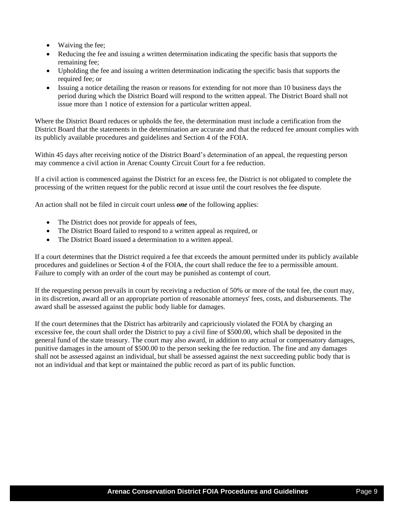- Waiving the fee;
- Reducing the fee and issuing a written determination indicating the specific basis that supports the remaining fee;
- Upholding the fee and issuing a written determination indicating the specific basis that supports the required fee; or
- Issuing a notice detailing the reason or reasons for extending for not more than 10 business days the period during which the District Board will respond to the written appeal. The District Board shall not issue more than 1 notice of extension for a particular written appeal.

Where the District Board reduces or upholds the fee, the determination must include a certification from the District Board that the statements in the determination are accurate and that the reduced fee amount complies with its publicly available procedures and guidelines and Section 4 of the FOIA.

Within 45 days after receiving notice of the District Board's determination of an appeal, the requesting person may commence a civil action in Arenac County Circuit Court for a fee reduction.

If a civil action is commenced against the District for an excess fee, the District is not obligated to complete the processing of the written request for the public record at issue until the court resolves the fee dispute.

An action shall not be filed in circuit court unless *one* of the following applies:

- The District does not provide for appeals of fees,
- The District Board failed to respond to a written appeal as required, or
- The District Board issued a determination to a written appeal.

If a court determines that the District required a fee that exceeds the amount permitted under its publicly available procedures and guidelines or Section 4 of the FOIA, the court shall reduce the fee to a permissible amount. Failure to comply with an order of the court may be punished as contempt of court.

If the requesting person prevails in court by receiving a reduction of 50% or more of the total fee, the court may, in its discretion, award all or an appropriate portion of reasonable attorneys' fees, costs, and disbursements. The award shall be assessed against the public body liable for damages.

If the court determines that the District has arbitrarily and capriciously violated the FOIA by charging an excessive fee, the court shall order the District to pay a civil fine of \$500.00, which shall be deposited in the general fund of the state treasury. The court may also award, in addition to any actual or compensatory damages, punitive damages in the amount of \$500.00 to the person seeking the fee reduction. The fine and any damages shall not be assessed against an individual, but shall be assessed against the next succeeding public body that is not an individual and that kept or maintained the public record as part of its public function.